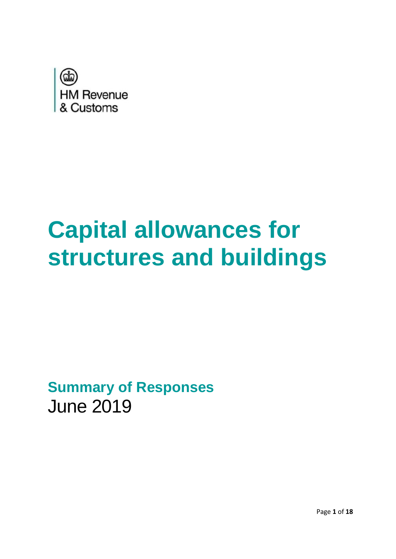<span id="page-0-0"></span>

# **Capital allowances for structures and buildings**

**Summary of Responses** June 2019

Page **1** of **18**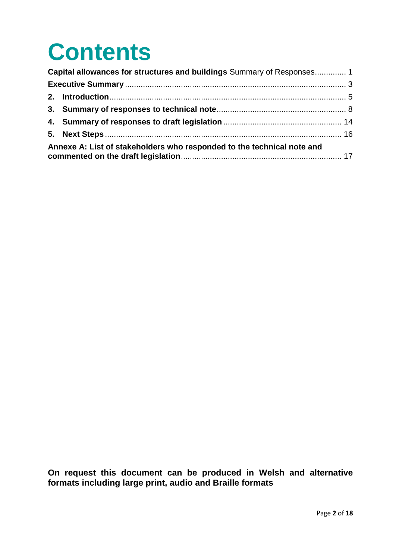## **Contents**

|                                                                        | Capital allowances for structures and buildings Summary of Responses 1 |  |
|------------------------------------------------------------------------|------------------------------------------------------------------------|--|
|                                                                        |                                                                        |  |
|                                                                        |                                                                        |  |
|                                                                        |                                                                        |  |
|                                                                        |                                                                        |  |
|                                                                        |                                                                        |  |
| Annexe A: List of stakeholders who responded to the technical note and |                                                                        |  |

**On request this document can be produced in Welsh and alternative formats including large print, audio and Braille formats**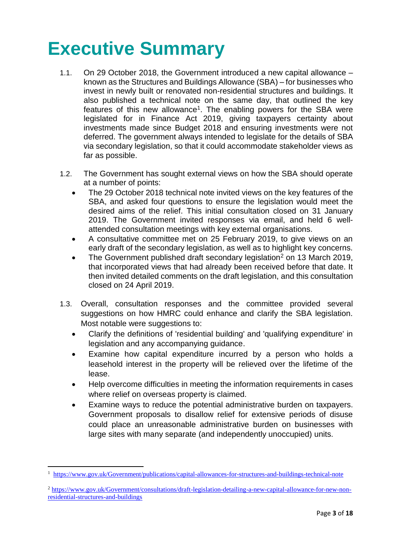### <span id="page-2-0"></span>**Executive Summary**

- 1.1. On 29 October 2018, the Government introduced a new capital allowance known as the Structures and Buildings Allowance (SBA) – for businesses who invest in newly built or renovated non-residential structures and buildings. It also published a technical note on the same day, that outlined the key features of this new allowance<sup>1</sup>. The enabling powers for the SBA were legislated for in Finance Act 2019, giving taxpayers certainty about investments made since Budget 2018 and ensuring investments were not deferred. The government always intended to legislate for the details of SBA via secondary legislation, so that it could accommodate stakeholder views as far as possible.
- 1.2. The Government has sought external views on how the SBA should operate at a number of points:
	- The 29 October 2018 technical note invited views on the key features of the SBA, and asked four questions to ensure the legislation would meet the desired aims of the relief. This initial consultation closed on 31 January 2019. The Government invited responses via email, and held 6 wellattended consultation meetings with key external organisations.
	- A consultative committee met on 25 February 2019, to give views on an early draft of the secondary legislation, as well as to highlight key concerns.
	- The Government published draft secondary legislation<sup>2</sup> on 13 March 2019, that incorporated views that had already been received before that date. It then invited detailed comments on the draft legislation, and this consultation closed on 24 April 2019.
- 1.3. Overall, consultation responses and the committee provided several suggestions on how HMRC could enhance and clarify the SBA legislation. Most notable were suggestions to:
	- Clarify the definitions of 'residential building' and 'qualifying expenditure' in legislation and any accompanying guidance.
	- Examine how capital expenditure incurred by a person who holds a leasehold interest in the property will be relieved over the lifetime of the lease.
	- Help overcome difficulties in meeting the information requirements in cases where relief on overseas property is claimed.
	- Examine ways to reduce the potential administrative burden on taxpayers. Government proposals to disallow relief for extensive periods of disuse could place an unreasonable administrative burden on businesses with large sites with many separate (and independently unoccupied) units.

1

<sup>1</sup> <https://www.gov.uk/Government/publications/capital-allowances-for-structures-and-buildings-technical-note>

<sup>2</sup> [https://www.gov.uk/Government/consultations/draft-legislation-detailing-a-new-capital-allowance-for-new-non](https://www.gov.uk/Government/consultations/draft-legislation-detailing-a-new-capital-allowance-for-new-non-residential-structures-and-buildings)[residential-structures-and-buildings](https://www.gov.uk/Government/consultations/draft-legislation-detailing-a-new-capital-allowance-for-new-non-residential-structures-and-buildings)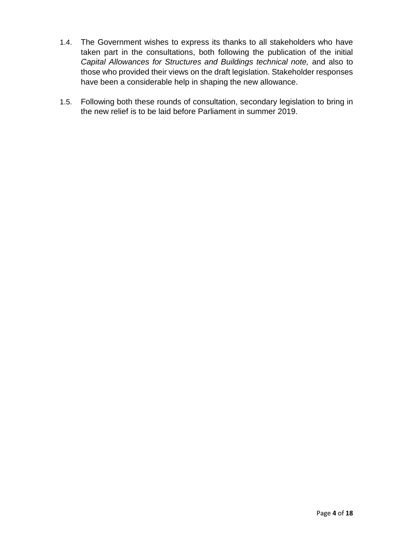- 1.4. The Government wishes to express its thanks to all stakeholders who have taken part in the consultations, both following the publication of the initial *Capital Allowances for Structures and Buildings technical note,* and also to those who provided their views on the draft legislation. Stakeholder responses have been a considerable help in shaping the new allowance.
- 1.5. Following both these rounds of consultation, secondary legislation to bring in the new relief is to be laid before Parliament in summer 2019.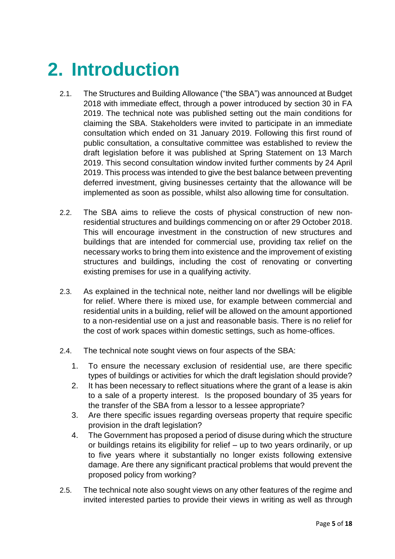### <span id="page-4-0"></span>**2. Introduction**

- 2.1. The Structures and Building Allowance ("the SBA") was announced at Budget 2018 with immediate effect, through a power introduced by section 30 in FA 2019. The technical note was published setting out the main conditions for claiming the SBA. Stakeholders were invited to participate in an immediate consultation which ended on 31 January 2019. Following this first round of public consultation, a consultative committee was established to review the draft legislation before it was published at Spring Statement on 13 March 2019. This second consultation window invited further comments by 24 April 2019. This process was intended to give the best balance between preventing deferred investment, giving businesses certainty that the allowance will be implemented as soon as possible, whilst also allowing time for consultation.
- 2.2. The SBA aims to relieve the costs of physical construction of new nonresidential structures and buildings commencing on or after 29 October 2018. This will encourage investment in the construction of new structures and buildings that are intended for commercial use, providing tax relief on the necessary works to bring them into existence and the improvement of existing structures and buildings, including the cost of renovating or converting existing premises for use in a qualifying activity.
- 2.3. As explained in the technical note, neither land nor dwellings will be eligible for relief. Where there is mixed use, for example between commercial and residential units in a building, relief will be allowed on the amount apportioned to a non-residential use on a just and reasonable basis. There is no relief for the cost of work spaces within domestic settings, such as home-offices.
- 2.4. The technical note sought views on four aspects of the SBA:
	- 1. To ensure the necessary exclusion of residential use, are there specific types of buildings or activities for which the draft legislation should provide?
	- 2. It has been necessary to reflect situations where the grant of a lease is akin to a sale of a property interest. Is the proposed boundary of 35 years for the transfer of the SBA from a lessor to a lessee appropriate?
	- 3. Are there specific issues regarding overseas property that require specific provision in the draft legislation?
	- 4. The Government has proposed a period of disuse during which the structure or buildings retains its eligibility for relief – up to two years ordinarily, or up to five years where it substantially no longer exists following extensive damage. Are there any significant practical problems that would prevent the proposed policy from working?
- 2.5. The technical note also sought views on any other features of the regime and invited interested parties to provide their views in writing as well as through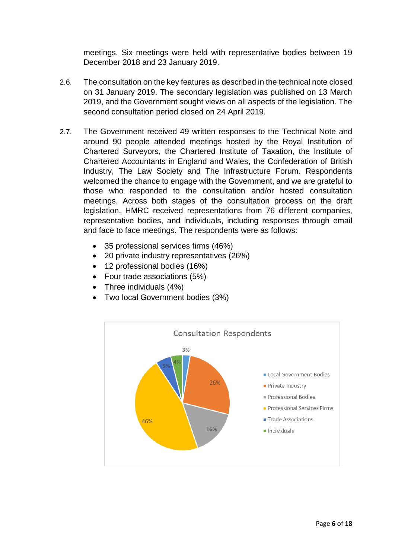meetings. Six meetings were held with representative bodies between 19 December 2018 and 23 January 2019.

- 2.6. The consultation on the key features as described in the technical note closed on 31 January 2019. The secondary legislation was published on 13 March 2019, and the Government sought views on all aspects of the legislation. The second consultation period closed on 24 April 2019.
- 2.7. The Government received 49 written responses to the Technical Note and around 90 people attended meetings hosted by the Royal Institution of Chartered Surveyors, the Chartered Institute of Taxation, the Institute of Chartered Accountants in England and Wales, the Confederation of British Industry, The Law Society and The Infrastructure Forum. Respondents welcomed the chance to engage with the Government, and we are grateful to those who responded to the consultation and/or hosted consultation meetings. Across both stages of the consultation process on the draft legislation, HMRC received representations from 76 different companies, representative bodies, and individuals, including responses through email and face to face meetings. The respondents were as follows:
	- 35 professional services firms (46%)
	- 20 private industry representatives (26%)
	- 12 professional bodies (16%)
	- Four trade associations (5%)
	- Three individuals (4%)
	- Two local Government bodies (3%)

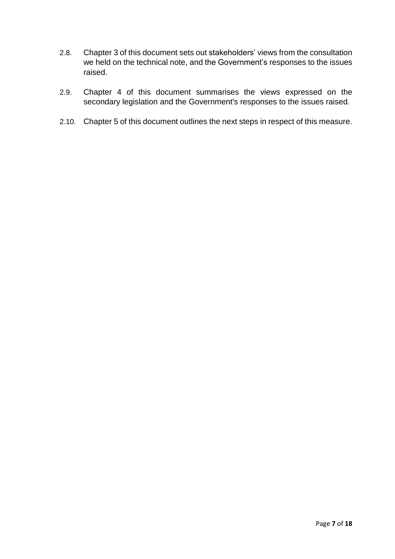- 2.8. Chapter 3 of this document sets out stakeholders' views from the consultation we held on the technical note, and the Government's responses to the issues raised.
- 2.9. Chapter 4 of this document summarises the views expressed on the secondary legislation and the Government's responses to the issues raised.
- 2.10. Chapter 5 of this document outlines the next steps in respect of this measure.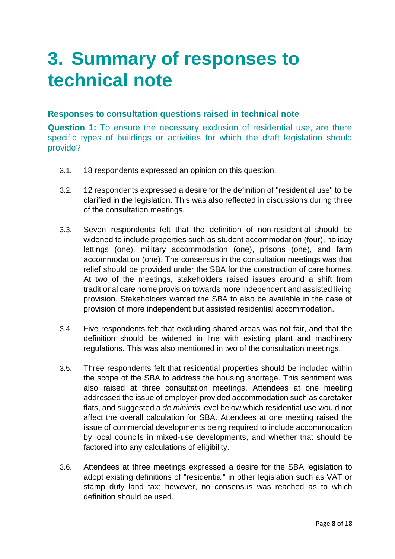### <span id="page-7-0"></span>**3. Summary of responses to technical note**

#### **Responses to consultation questions raised in technical note**

**Question 1:** To ensure the necessary exclusion of residential use, are there specific types of buildings or activities for which the draft legislation should provide?

- 3.1. 18 respondents expressed an opinion on this question.
- 3.2. 12 respondents expressed a desire for the definition of "residential use" to be clarified in the legislation. This was also reflected in discussions during three of the consultation meetings.
- 3.3. Seven respondents felt that the definition of non-residential should be widened to include properties such as student accommodation (four), holiday lettings (one), military accommodation (one), prisons (one), and farm accommodation (one). The consensus in the consultation meetings was that relief should be provided under the SBA for the construction of care homes. At two of the meetings, stakeholders raised issues around a shift from traditional care home provision towards more independent and assisted living provision. Stakeholders wanted the SBA to also be available in the case of provision of more independent but assisted residential accommodation.
- 3.4. Five respondents felt that excluding shared areas was not fair, and that the definition should be widened in line with existing plant and machinery regulations. This was also mentioned in two of the consultation meetings.
- 3.5. Three respondents felt that residential properties should be included within the scope of the SBA to address the housing shortage. This sentiment was also raised at three consultation meetings. Attendees at one meeting addressed the issue of employer-provided accommodation such as caretaker flats, and suggested a *de minimis* level below which residential use would not affect the overall calculation for SBA. Attendees at one meeting raised the issue of commercial developments being required to include accommodation by local councils in mixed-use developments, and whether that should be factored into any calculations of eligibility.
- 3.6. Attendees at three meetings expressed a desire for the SBA legislation to adopt existing definitions of "residential" in other legislation such as VAT or stamp duty land tax; however, no consensus was reached as to which definition should be used.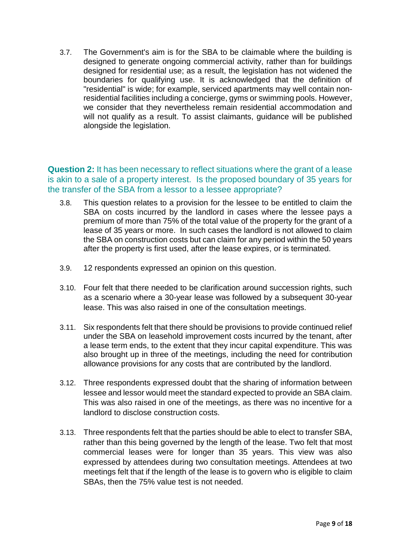3.7. The Government's aim is for the SBA to be claimable where the building is designed to generate ongoing commercial activity, rather than for buildings designed for residential use; as a result, the legislation has not widened the boundaries for qualifying use. It is acknowledged that the definition of "residential" is wide; for example, serviced apartments may well contain nonresidential facilities including a concierge, gyms or swimming pools. However, we consider that they nevertheless remain residential accommodation and will not qualify as a result. To assist claimants, guidance will be published alongside the legislation.

#### **Question 2:** It has been necessary to reflect situations where the grant of a lease is akin to a sale of a property interest. Is the proposed boundary of 35 years for the transfer of the SBA from a lessor to a lessee appropriate?

- 3.8. This question relates to a provision for the lessee to be entitled to claim the SBA on costs incurred by the landlord in cases where the lessee pays a premium of more than 75% of the total value of the property for the grant of a lease of 35 years or more. In such cases the landlord is not allowed to claim the SBA on construction costs but can claim for any period within the 50 years after the property is first used, after the lease expires, or is terminated.
- 3.9. 12 respondents expressed an opinion on this question.
- 3.10. Four felt that there needed to be clarification around succession rights, such as a scenario where a 30-year lease was followed by a subsequent 30-year lease. This was also raised in one of the consultation meetings.
- 3.11. Six respondents felt that there should be provisions to provide continued relief under the SBA on leasehold improvement costs incurred by the tenant, after a lease term ends, to the extent that they incur capital expenditure. This was also brought up in three of the meetings, including the need for contribution allowance provisions for any costs that are contributed by the landlord.
- 3.12. Three respondents expressed doubt that the sharing of information between lessee and lessor would meet the standard expected to provide an SBA claim. This was also raised in one of the meetings, as there was no incentive for a landlord to disclose construction costs.
- 3.13. Three respondents felt that the parties should be able to elect to transfer SBA, rather than this being governed by the length of the lease. Two felt that most commercial leases were for longer than 35 years. This view was also expressed by attendees during two consultation meetings. Attendees at two meetings felt that if the length of the lease is to govern who is eligible to claim SBAs, then the 75% value test is not needed.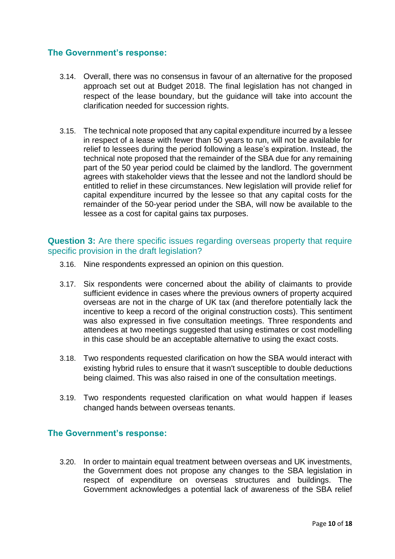#### **The Government's response:**

- 3.14. Overall, there was no consensus in favour of an alternative for the proposed approach set out at Budget 2018. The final legislation has not changed in respect of the lease boundary, but the guidance will take into account the clarification needed for succession rights.
- 3.15. The technical note proposed that any capital expenditure incurred by a lessee in respect of a lease with fewer than 50 years to run, will not be available for relief to lessees during the period following a lease's expiration. Instead, the technical note proposed that the remainder of the SBA due for any remaining part of the 50 year period could be claimed by the landlord. The government agrees with stakeholder views that the lessee and not the landlord should be entitled to relief in these circumstances. New legislation will provide relief for capital expenditure incurred by the lessee so that any capital costs for the remainder of the 50-year period under the SBA, will now be available to the lessee as a cost for capital gains tax purposes.

#### **Question 3:** Are there specific issues regarding overseas property that require specific provision in the draft legislation?

- 3.16. Nine respondents expressed an opinion on this question.
- 3.17. Six respondents were concerned about the ability of claimants to provide sufficient evidence in cases where the previous owners of property acquired overseas are not in the charge of UK tax (and therefore potentially lack the incentive to keep a record of the original construction costs). This sentiment was also expressed in five consultation meetings. Three respondents and attendees at two meetings suggested that using estimates or cost modelling in this case should be an acceptable alternative to using the exact costs.
- 3.18. Two respondents requested clarification on how the SBA would interact with existing hybrid rules to ensure that it wasn't susceptible to double deductions being claimed. This was also raised in one of the consultation meetings.
- 3.19. Two respondents requested clarification on what would happen if leases changed hands between overseas tenants.

#### **The Government's response:**

3.20. In order to maintain equal treatment between overseas and UK investments, the Government does not propose any changes to the SBA legislation in respect of expenditure on overseas structures and buildings. The Government acknowledges a potential lack of awareness of the SBA relief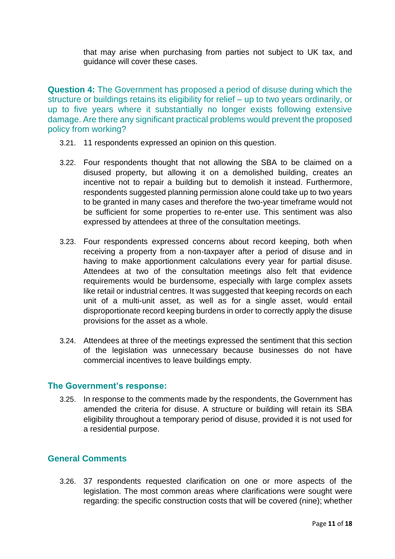that may arise when purchasing from parties not subject to UK tax, and guidance will cover these cases.

**Question 4:** The Government has proposed a period of disuse during which the structure or buildings retains its eligibility for relief – up to two years ordinarily, or up to five years where it substantially no longer exists following extensive damage. Are there any significant practical problems would prevent the proposed policy from working?

- 3.21. 11 respondents expressed an opinion on this question.
- 3.22. Four respondents thought that not allowing the SBA to be claimed on a disused property, but allowing it on a demolished building, creates an incentive not to repair a building but to demolish it instead. Furthermore, respondents suggested planning permission alone could take up to two years to be granted in many cases and therefore the two-year timeframe would not be sufficient for some properties to re-enter use. This sentiment was also expressed by attendees at three of the consultation meetings.
- 3.23. Four respondents expressed concerns about record keeping, both when receiving a property from a non-taxpayer after a period of disuse and in having to make apportionment calculations every year for partial disuse. Attendees at two of the consultation meetings also felt that evidence requirements would be burdensome, especially with large complex assets like retail or industrial centres. It was suggested that keeping records on each unit of a multi-unit asset, as well as for a single asset, would entail disproportionate record keeping burdens in order to correctly apply the disuse provisions for the asset as a whole.
- 3.24. Attendees at three of the meetings expressed the sentiment that this section of the legislation was unnecessary because businesses do not have commercial incentives to leave buildings empty.

#### **The Government's response:**

3.25. In response to the comments made by the respondents, the Government has amended the criteria for disuse. A structure or building will retain its SBA eligibility throughout a temporary period of disuse, provided it is not used for a residential purpose.

#### **General Comments**

3.26. 37 respondents requested clarification on one or more aspects of the legislation. The most common areas where clarifications were sought were regarding: the specific construction costs that will be covered (nine); whether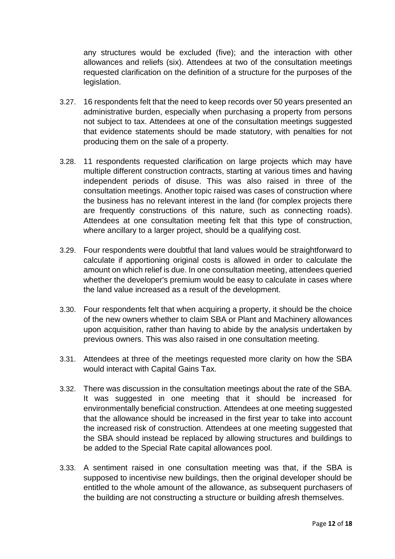any structures would be excluded (five); and the interaction with other allowances and reliefs (six). Attendees at two of the consultation meetings requested clarification on the definition of a structure for the purposes of the legislation.

- 3.27. 16 respondents felt that the need to keep records over 50 years presented an administrative burden, especially when purchasing a property from persons not subject to tax. Attendees at one of the consultation meetings suggested that evidence statements should be made statutory, with penalties for not producing them on the sale of a property.
- 3.28. 11 respondents requested clarification on large projects which may have multiple different construction contracts, starting at various times and having independent periods of disuse. This was also raised in three of the consultation meetings. Another topic raised was cases of construction where the business has no relevant interest in the land (for complex projects there are frequently constructions of this nature, such as connecting roads). Attendees at one consultation meeting felt that this type of construction, where ancillary to a larger project, should be a qualifying cost.
- 3.29. Four respondents were doubtful that land values would be straightforward to calculate if apportioning original costs is allowed in order to calculate the amount on which relief is due. In one consultation meeting, attendees queried whether the developer's premium would be easy to calculate in cases where the land value increased as a result of the development.
- 3.30. Four respondents felt that when acquiring a property, it should be the choice of the new owners whether to claim SBA or Plant and Machinery allowances upon acquisition, rather than having to abide by the analysis undertaken by previous owners. This was also raised in one consultation meeting.
- 3.31. Attendees at three of the meetings requested more clarity on how the SBA would interact with Capital Gains Tax.
- 3.32. There was discussion in the consultation meetings about the rate of the SBA. It was suggested in one meeting that it should be increased for environmentally beneficial construction. Attendees at one meeting suggested that the allowance should be increased in the first year to take into account the increased risk of construction. Attendees at one meeting suggested that the SBA should instead be replaced by allowing structures and buildings to be added to the Special Rate capital allowances pool.
- 3.33. A sentiment raised in one consultation meeting was that, if the SBA is supposed to incentivise new buildings, then the original developer should be entitled to the whole amount of the allowance, as subsequent purchasers of the building are not constructing a structure or building afresh themselves.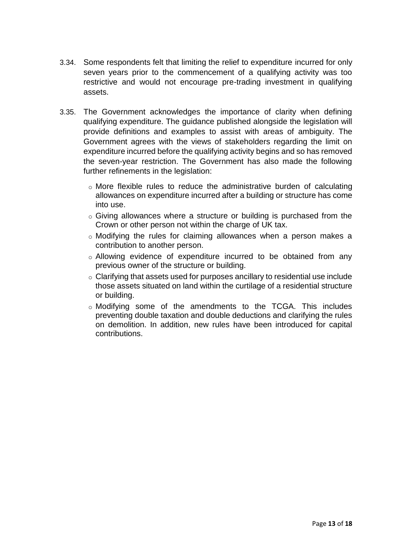- 3.34. Some respondents felt that limiting the relief to expenditure incurred for only seven years prior to the commencement of a qualifying activity was too restrictive and would not encourage pre-trading investment in qualifying assets.
- 3.35. The Government acknowledges the importance of clarity when defining qualifying expenditure. The guidance published alongside the legislation will provide definitions and examples to assist with areas of ambiguity. The Government agrees with the views of stakeholders regarding the limit on expenditure incurred before the qualifying activity begins and so has removed the seven-year restriction. The Government has also made the following further refinements in the legislation:
	- o More flexible rules to reduce the administrative burden of calculating allowances on expenditure incurred after a building or structure has come into use.
	- o Giving allowances where a structure or building is purchased from the Crown or other person not within the charge of UK tax.
	- o Modifying the rules for claiming allowances when a person makes a contribution to another person.
	- o Allowing evidence of expenditure incurred to be obtained from any previous owner of the structure or building.
	- o Clarifying that assets used for purposes ancillary to residential use include those assets situated on land within the curtilage of a residential structure or building.
	- o Modifying some of the amendments to the TCGA. This includes preventing double taxation and double deductions and clarifying the rules on demolition. In addition, new rules have been introduced for capital contributions.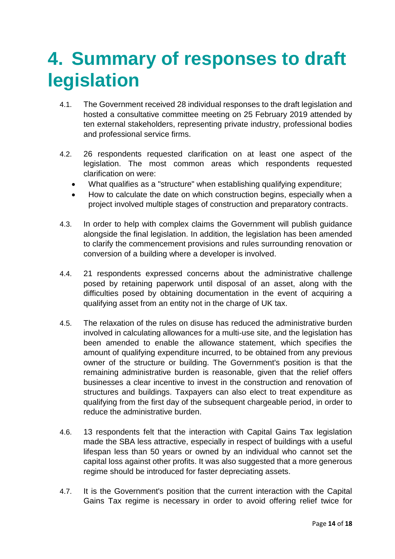### <span id="page-13-0"></span>**4. Summary of responses to draft legislation**

- 4.1. The Government received 28 individual responses to the draft legislation and hosted a consultative committee meeting on 25 February 2019 attended by ten external stakeholders, representing private industry, professional bodies and professional service firms.
- 4.2. 26 respondents requested clarification on at least one aspect of the legislation. The most common areas which respondents requested clarification on were:
	- What qualifies as a "structure" when establishing qualifying expenditure;
	- How to calculate the date on which construction begins, especially when a project involved multiple stages of construction and preparatory contracts.
- 4.3. In order to help with complex claims the Government will publish guidance alongside the final legislation. In addition, the legislation has been amended to clarify the commencement provisions and rules surrounding renovation or conversion of a building where a developer is involved.
- 4.4. 21 respondents expressed concerns about the administrative challenge posed by retaining paperwork until disposal of an asset, along with the difficulties posed by obtaining documentation in the event of acquiring a qualifying asset from an entity not in the charge of UK tax.
- 4.5. The relaxation of the rules on disuse has reduced the administrative burden involved in calculating allowances for a multi-use site, and the legislation has been amended to enable the allowance statement, which specifies the amount of qualifying expenditure incurred, to be obtained from any previous owner of the structure or building. The Government's position is that the remaining administrative burden is reasonable, given that the relief offers businesses a clear incentive to invest in the construction and renovation of structures and buildings. Taxpayers can also elect to treat expenditure as qualifying from the first day of the subsequent chargeable period, in order to reduce the administrative burden.
- 4.6. 13 respondents felt that the interaction with Capital Gains Tax legislation made the SBA less attractive, especially in respect of buildings with a useful lifespan less than 50 years or owned by an individual who cannot set the capital loss against other profits. It was also suggested that a more generous regime should be introduced for faster depreciating assets.
- 4.7. It is the Government's position that the current interaction with the Capital Gains Tax regime is necessary in order to avoid offering relief twice for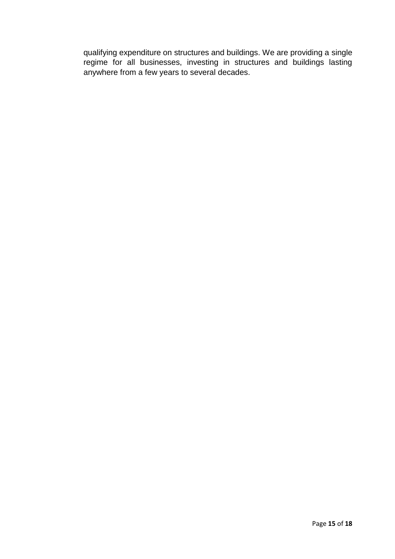qualifying expenditure on structures and buildings. We are providing a single regime for all businesses, investing in structures and buildings lasting anywhere from a few years to several decades.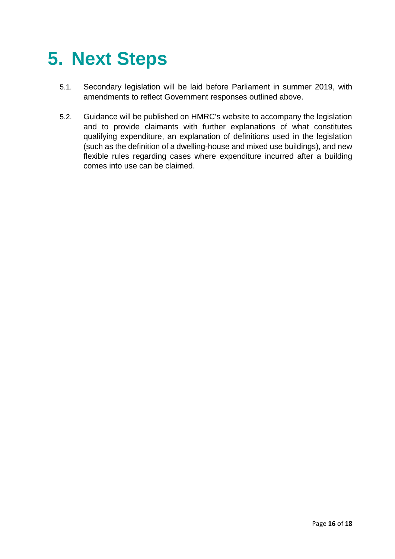## <span id="page-15-0"></span>**5. Next Steps**

- 5.1. Secondary legislation will be laid before Parliament in summer 2019, with amendments to reflect Government responses outlined above.
- 5.2. Guidance will be published on HMRC's website to accompany the legislation and to provide claimants with further explanations of what constitutes qualifying expenditure, an explanation of definitions used in the legislation (such as the definition of a dwelling-house and mixed use buildings), and new flexible rules regarding cases where expenditure incurred after a building comes into use can be claimed.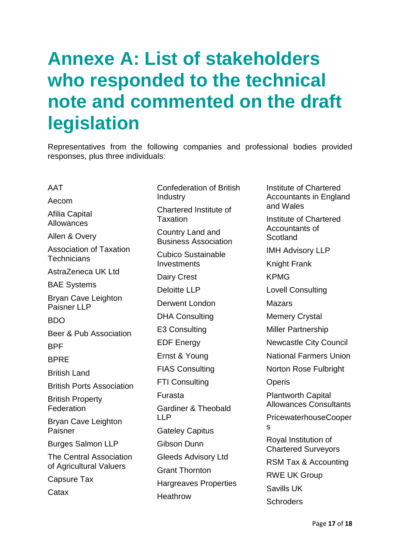### <span id="page-16-0"></span>**Annexe A: List of stakeholders who responded to the technical note and commented on the draft legislation**

Representatives from the following companies and professional bodies provided responses, plus three individuals:

AAT Aecom Afilia Capital Allowances Allen & Overy Association of Taxation **Technicians** AstraZeneca UK Ltd BAE Systems Bryan Cave Leighton Paisner LLP BDO Beer & Pub Association **RPF BPRF** British Land British Ports Association British Property **Federation** Bryan Cave Leighton Paisner Burges Salmon LLP The Central Association of Agricultural Valuers Capsure Tax **Catax** Confederation of British Industry Chartered Institute of **Taxation** Country Land and Business Association Cubico Sustainable **Investments** Dairy Crest Deloitte LLP Derwent London DHA Consulting E3 Consulting EDF Energy Ernst & Young FIAS Consulting FTI Consulting Furasta Gardiner & Theobald LLP Gateley Capitus Gibson Dunn Gleeds Advisory Ltd Grant Thornton Hargreaves Properties Heathrow Institute of Chartered Accountants in England and Wales Institute of Chartered Accountants of **Scotland** IMH Advisory LLP Knight Frank KPMG Lovell Consulting Mazars Memery Crystal Miller Partnership Newcastle City Council National Farmers Union Norton Rose Fulbright **Operis** Plantworth Capital Allowances Consultants PricewaterhouseCooper s Royal Institution of Chartered Surveyors RSM Tax & Accounting RWE UK Group Savills UK **Schroders**